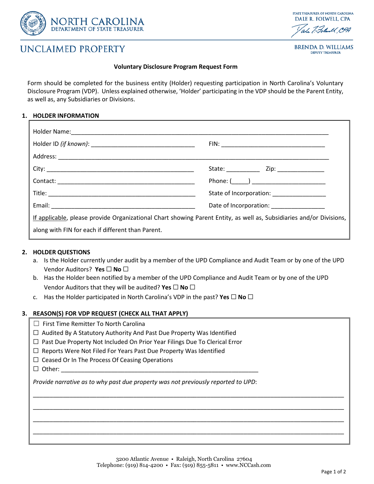

# **UNCLAIMED PROPERTY**

## **STATE TREASURER OF NORTH CAROLINA** DALE R. FOLWELL, CPA Totalend CPA

**BRENDA D. WILLIAMS DEPUTY TREASURER** 

#### **Voluntary Disclosure Program Request Form**

Form should be completed for the business entity (Holder) requesting participation in North Carolina's Voluntary Disclosure Program (VDP). Unless explained otherwise, 'Holder' participating in the VDP should be the Parent Entity, as well as, any Subsidiaries or Divisions.

### **1. HOLDER INFORMATION**

|                                                                                                                      | Phone: $(\_\_\_\_\_\_\_\_\_\_$           |
|----------------------------------------------------------------------------------------------------------------------|------------------------------------------|
|                                                                                                                      | State of Incorporation: _______________  |
|                                                                                                                      | Date of Incorporation: _________________ |
| If applicable, please provide Organizational Chart showing Parent Entity, as well as, Subsidiaries and/or Divisions, |                                          |
| along with FIN for each if different than Parent.                                                                    |                                          |
|                                                                                                                      |                                          |

### **2. HOLDER QUESTIONS**

- a. Is the Holder currently under audit by a member of the UPD Compliance and Audit Team or by one of the UPD Vendor Auditors? **Yes** ☐ **No** ☐
- b. Has the Holder been notified by a member of the UPD Compliance and Audit Team or by one of the UPD Vendor Auditors that they will be audited? **Yes** ☐ **No** ☐
- c. Has the Holder participated in North Carolina's VDP in the past? **Yes** ☐ **No** ☐

### **3. REASON(S) FOR VDP REQUEST (CHECK ALL THAT APPLY)**

- ☐ First Time Remitter To North Carolina
- ☐ Audited By A Statutory Authority And Past Due Property Was Identified
- ☐ Past Due Property Not Included On Prior Year Filings Due To Clerical Error
- □ Reports Were Not Filed For Years Past Due Property Was Identified
- ☐ Ceased Or In The Process Of Ceasing Operations
- ☐ Other: \_\_\_\_\_\_\_\_\_\_\_\_\_\_\_\_\_\_\_\_\_\_\_\_\_\_\_\_\_\_\_\_\_\_\_\_\_\_\_\_\_\_\_\_\_\_\_\_\_\_\_\_\_\_\_\_\_\_\_

*Provide narrative as to why past due property was not previously reported to UPD*:

\_\_\_\_\_\_\_\_\_\_\_\_\_\_\_\_\_\_\_\_\_\_\_\_\_\_\_\_\_\_\_\_\_\_\_\_\_\_\_\_\_\_\_\_\_\_\_\_\_\_\_\_\_\_\_\_\_\_\_\_\_\_\_\_\_\_\_\_\_\_\_\_\_\_\_\_\_\_\_\_\_\_\_\_\_\_\_\_\_\_\_\_\_

\_\_\_\_\_\_\_\_\_\_\_\_\_\_\_\_\_\_\_\_\_\_\_\_\_\_\_\_\_\_\_\_\_\_\_\_\_\_\_\_\_\_\_\_\_\_\_\_\_\_\_\_\_\_\_\_\_\_\_\_\_\_\_\_\_\_\_\_\_\_\_\_\_\_\_\_\_\_\_\_\_\_\_\_\_\_\_\_\_\_\_\_\_

\_\_\_\_\_\_\_\_\_\_\_\_\_\_\_\_\_\_\_\_\_\_\_\_\_\_\_\_\_\_\_\_\_\_\_\_\_\_\_\_\_\_\_\_\_\_\_\_\_\_\_\_\_\_\_\_\_\_\_\_\_\_\_\_\_\_\_\_\_\_\_\_\_\_\_\_\_\_\_\_\_\_\_\_\_\_\_\_\_\_\_\_\_

\_\_\_\_\_\_\_\_\_\_\_\_\_\_\_\_\_\_\_\_\_\_\_\_\_\_\_\_\_\_\_\_\_\_\_\_\_\_\_\_\_\_\_\_\_\_\_\_\_\_\_\_\_\_\_\_\_\_\_\_\_\_\_\_\_\_\_\_\_\_\_\_\_\_\_\_\_\_\_\_\_\_\_\_\_\_\_\_\_\_\_\_\_